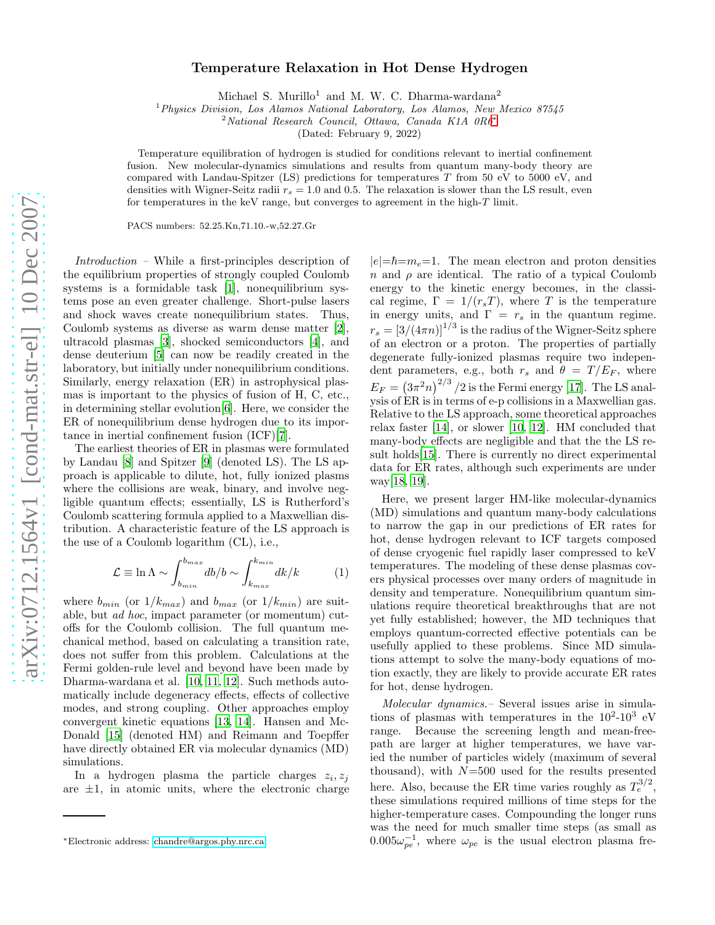## Temperature Relaxation in Hot Dense Hydrogen

Michael S. Murillo<sup>1</sup> and M. W. C. Dharma-wardana<sup>2</sup>

<sup>1</sup>*Physics Division, Los Alamos National Laboratory, Los Alamos, New Mexico 87545*

<sup>2</sup>*National Research Council, Ottawa, Canada K1A 0R6*[∗](#page-0-0)

(Dated: February 9, 2022)

Temperature equilibration of hydrogen is studied for conditions relevant to inertial confinement fusion. New molecular-dynamics simulations and results from quantum many-body theory are compared with Landau-Spitzer (LS) predictions for temperatures T from 50 eV to 5000 eV, and densities with Wigner-Seitz radii  $r_s = 1.0$  and 0.5. The relaxation is slower than the LS result, even for temperatures in the keV range, but converges to agreement in the high-T limit.

PACS numbers: 52.25.Kn,71.10.-w,52.27.Gr

Introduction – While a first-principles description of the equilibrium properties of strongly coupled Coulomb systems is a formidable task [\[1\]](#page-3-0), nonequilibrium systems pose an even greater challenge. Short-pulse lasers and shock waves create nonequilibrium states. Thus, Coulomb systems as diverse as warm dense matter [\[2\]](#page-3-1), ultracold plasmas [\[3](#page-3-2)], shocked semiconductors [\[4\]](#page-3-3), and dense deuterium [\[5\]](#page-3-4) can now be readily created in the laboratory, but initially under nonequilibrium conditions. Similarly, energy relaxation (ER) in astrophysical plasmas is important to the physics of fusion of H, C, etc., in determining stellar evolution[\[6](#page-3-5)]. Here, we consider the ER of nonequilibrium dense hydrogen due to its importance in inertial confinement fusion (ICF)[\[7](#page-3-6)].

The earliest theories of ER in plasmas were formulated by Landau [\[8](#page-3-7)] and Spitzer [\[9\]](#page-3-8) (denoted LS). The LS approach is applicable to dilute, hot, fully ionized plasms where the collisions are weak, binary, and involve negligible quantum effects; essentially, LS is Rutherford's Coulomb scattering formula applied to a Maxwellian distribution. A characteristic feature of the LS approach is the use of a Coulomb logarithm (CL), i.e.,

$$
\mathcal{L} \equiv \ln \Lambda \sim \int_{b_{min}}^{b_{max}} db/b \sim \int_{k_{max}}^{k_{min}} dk/k \tag{1}
$$

where  $b_{min}$  (or  $1/k_{max}$ ) and  $b_{max}$  (or  $1/k_{min}$ ) are suitable, but ad hoc, impact parameter (or momentum) cutoffs for the Coulomb collision. The full quantum mechanical method, based on calculating a transition rate, does not suffer from this problem. Calculations at the Fermi golden-rule level and beyond have been made by Dharma-wardana et al. [\[10](#page-3-9), [11](#page-3-10), [12\]](#page-3-11). Such methods automatically include degeneracy effects, effects of collective modes, and strong coupling. Other approaches employ convergent kinetic equations [\[13](#page-3-12), [14](#page-3-13)]. Hansen and Mc-Donald [\[15\]](#page-3-14) (denoted HM) and Reimann and Toepffer have directly obtained ER via molecular dynamics (MD) simulations.

In a hydrogen plasma the particle charges  $z_i, z_j$ are  $\pm 1$ , in atomic units, where the electronic charge

 $|e|=\hbar=m_e=1$ . The mean electron and proton densities n and  $\rho$  are identical. The ratio of a typical Coulomb energy to the kinetic energy becomes, in the classical regime,  $\Gamma = 1/(r_s T)$ , where T is the temperature in energy units, and  $\Gamma = r_s$  in the quantum regime.  $r_s = \left[3/(4\pi n)\right]^{1/3}$  is the radius of the Wigner-Seitz sphere of an electron or a proton. The properties of partially degenerate fully-ionized plasmas require two independent parameters, e.g., both  $r_s$  and  $\theta = T/E_F$ , where  $E_F = (3\pi^2 n)^{2/3}$  /2 is the Fermi energy [\[17\]](#page-3-15). The LS analysis of ER is in terms of e-p collisions in a Maxwellian gas. Relative to the LS approach, some theoretical approaches relax faster [\[14\]](#page-3-13), or slower [\[10](#page-3-9), [12\]](#page-3-11). HM concluded that many-body effects are negligible and that the the LS result holds[\[15\]](#page-3-14). There is currently no direct experimental data for ER rates, although such experiments are under way[\[18,](#page-3-16) [19\]](#page-3-17).

Here, we present larger HM-like molecular-dynamics (MD) simulations and quantum many-body calculations to narrow the gap in our predictions of ER rates for hot, dense hydrogen relevant to ICF targets composed of dense cryogenic fuel rapidly laser compressed to keV temperatures. The modeling of these dense plasmas covers physical processes over many orders of magnitude in density and temperature. Nonequilibrium quantum simulations require theoretical breakthroughs that are not yet fully established; however, the MD techniques that employs quantum-corrected effective potentials can be usefully applied to these problems. Since MD simulations attempt to solve the many-body equations of motion exactly, they are likely to provide accurate ER rates for hot, dense hydrogen.

Molecular dynamics.– Several issues arise in simulations of plasmas with temperatures in the  $10^2$ - $10^3$  eV range. Because the screening length and mean-freepath are larger at higher temperatures, we have varied the number of particles widely (maximum of several thousand), with  $N=500$  used for the results presented here. Also, because the ER time varies roughly as  $T_e^{3/2}$ , these simulations required millions of time steps for the higher-temperature cases. Compounding the longer runs was the need for much smaller time steps (as small as  $0.005\omega_{pe}^{-1}$ , where  $\omega_{pe}$  is the usual electron plasma fre-

<span id="page-0-0"></span><sup>∗</sup>Electronic address: [chandre@argos.phy.nrc.ca](mailto:chandre@argos.phy.nrc.ca)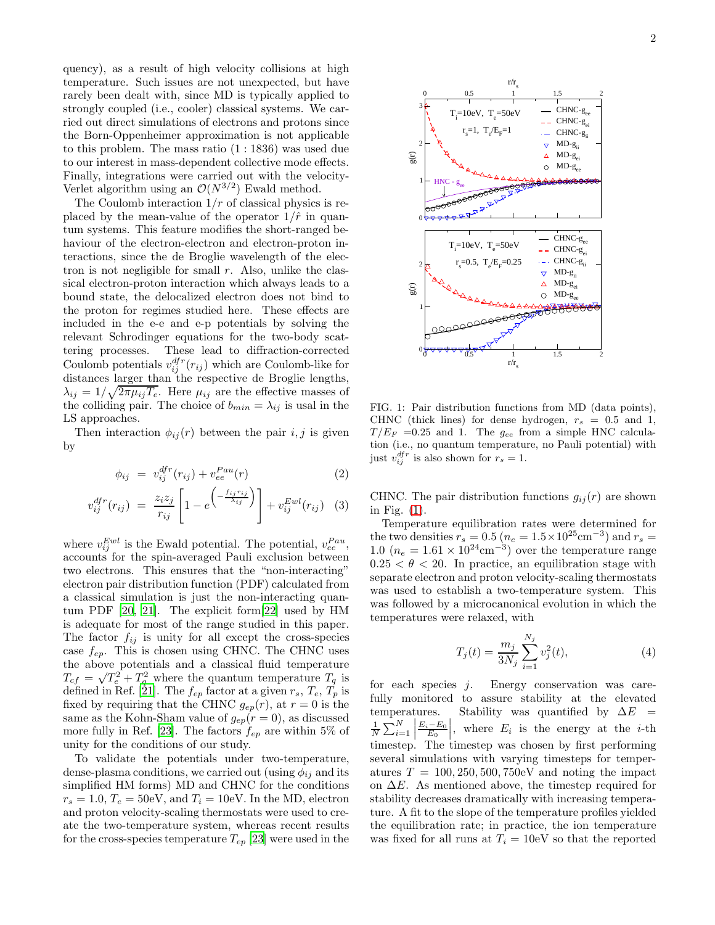quency), as a result of high velocity collisions at high temperature. Such issues are not unexpected, but have rarely been dealt with, since MD is typically applied to strongly coupled (i.e., cooler) classical systems. We carried out direct simulations of electrons and protons since the Born-Oppenheimer approximation is not applicable to this problem. The mass ratio (1 : 1836) was used due to our interest in mass-dependent collective mode effects. Finally, integrations were carried out with the velocity-Verlet algorithm using an  $\mathcal{O}(N^{3/2})$  Ewald method.

The Coulomb interaction  $1/r$  of classical physics is replaced by the mean-value of the operator  $1/\hat{r}$  in quantum systems. This feature modifies the short-ranged behaviour of the electron-electron and electron-proton interactions, since the de Broglie wavelength of the electron is not negligible for small  $r$ . Also, unlike the classical electron-proton interaction which always leads to a bound state, the delocalized electron does not bind to the proton for regimes studied here. These effects are included in the e-e and e-p potentials by solving the relevant Schrodinger equations for the two-body scattering processes. These lead to diffraction-corrected Coulomb potentials  $v_{ij}^{df}(r_{ij})$  which are Coulomb-like for distances larger than the respective de Broglie lengths,  $\lambda_{ij} = 1/\sqrt{2\pi\mu_{ij}T_e}$ . Here  $\mu_{ij}$  are the effective masses of the colliding pair. The choice of  $b_{min} = \lambda_{ij}$  is usal in the LS approaches.

Then interaction  $\phi_{ij}(r)$  between the pair i, j is given by

$$
\phi_{ij} = v_{ij}^{dfr}(r_{ij}) + v_{ee}^{Pau}(r) \tag{2}
$$

$$
v_{ij}^{dfr}(r_{ij}) = \frac{z_i z_j}{r_{ij}} \left[ 1 - e^{\left( -\frac{f_{ij} r_{ij}}{\lambda_{ij}} \right)} \right] + v_{ij}^{Ewl}(r_{ij}) \quad (3)
$$

where  $v_{ij}^{Ewl}$  is the Ewald potential. The potential,  $v_{ee}^{Pau}$ , accounts for the spin-averaged Pauli exclusion between two electrons. This ensures that the "non-interacting" electron pair distribution function (PDF) calculated from a classical simulation is just the non-interacting quantum PDF [\[20](#page-3-18), [21\]](#page-3-19). The explicit form[\[22](#page-3-20)] used by HM is adequate for most of the range studied in this paper. The factor  $f_{ij}$  is unity for all except the cross-species case  $f_{ep}$ . This is chosen using CHNC. The CHNC uses the above potentials and a classical fluid temperature  $T_{cf} = \sqrt{T_e^2 + T_q^2}$  where the quantum temperature  $T_q$  is defined in Ref. [\[21](#page-3-19)]. The  $f_{ep}$  factor at a given  $r_s$ ,  $T_e$ ,  $T_p$  is fixed by requiring that the CHNC  $g_{ep}(r)$ , at  $r=0$  is the same as the Kohn-Sham value of  $g_{ep}(r=0)$ , as discussed more fully in Ref. [\[23\]](#page-3-21). The factors  $f_{ep}$  are within 5% of unity for the conditions of our study.

To validate the potentials under two-temperature, dense-plasma conditions, we carried out (using  $\phi_{ij}$  and its simplified HM forms) MD and CHNC for the conditions  $r_s = 1.0$ ,  $T_e = 50$ eV, and  $T_i = 10$ eV. In the MD, electron and proton velocity-scaling thermostats were used to create the two-temperature system, whereas recent results for the cross-species temperature  $T_{ep}$  [\[23\]](#page-3-21) were used in the



<span id="page-1-0"></span>FIG. 1: Pair distribution functions from MD (data points), CHNC (thick lines) for dense hydrogen,  $r_s = 0.5$  and 1,  $T/E_F = 0.25$  and 1. The  $g_{ee}$  from a simple HNC calculation (i.e., no quantum temperature, no Pauli potential) with just  $v_{ij}^{dfr}$  is also shown for  $r_s = 1$ .

CHNC. The pair distribution functions  $g_{ij}(r)$  are shown in Fig. [\(1\)](#page-1-0).

Temperature equilibration rates were determined for the two densities  $r_s = 0.5 (n_e = 1.5 \times 10^{25} \text{cm}^{-3})$  and  $r_s =$  $1.0 \ (n_e = 1.61 \times 10^{24} \text{cm}^{-3})$  over the temperature range  $0.25 < \theta < 20$ . In practice, an equilibration stage with separate electron and proton velocity-scaling thermostats was used to establish a two-temperature system. This was followed by a microcanonical evolution in which the temperatures were relaxed, with

$$
T_j(t) = \frac{m_j}{3N_j} \sum_{i=1}^{N_j} v_j^2(t),
$$
\n(4)

for each species j. Energy conservation was carefully monitored to assure stability at the elevated temperatures. Stability was quantified by  $\Delta E$  = 1  $\frac{1}{N} \sum_{i=1}^{N}$  $\frac{E_i - E_0}{E_0}$ , where  $E_i$  is the energy at the *i*-th timestep. The timestep was chosen by first performing several simulations with varying timesteps for temperatures  $T = 100, 250, 500, 750$ eV and noting the impact on  $\Delta E$ . As mentioned above, the timestep required for stability decreases dramatically with increasing temperature. A fit to the slope of the temperature profiles yielded the equilibration rate; in practice, the ion temperature was fixed for all runs at  $T_i = 10$ eV so that the reported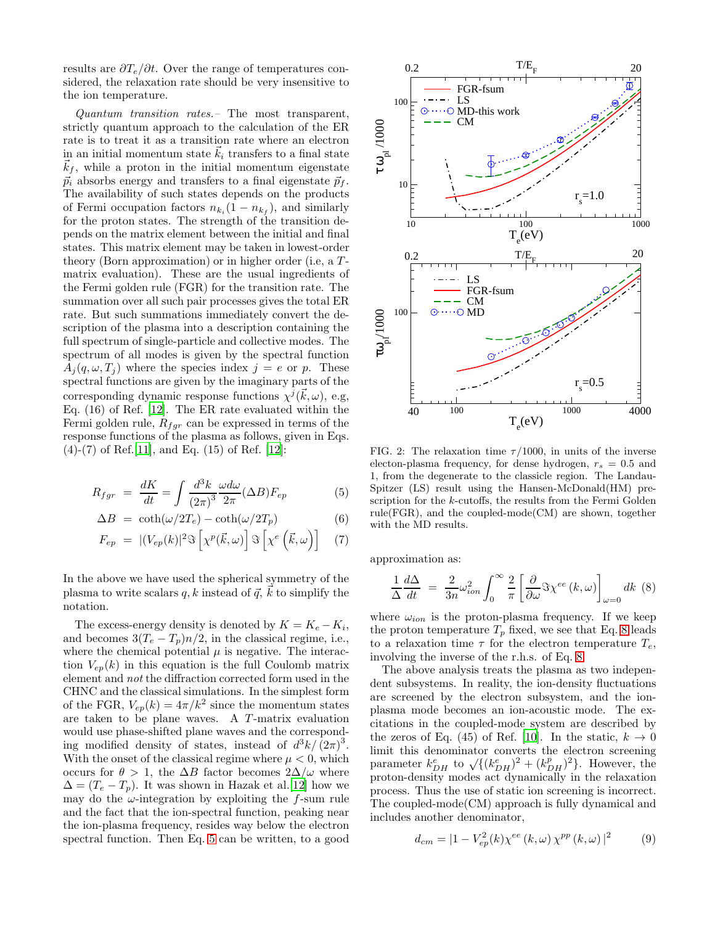results are  $\partial T_e/\partial t$ . Over the range of temperatures considered, the relaxation rate should be very insensitive to the ion temperature.

Quantum transition rates.– The most transparent, strictly quantum approach to the calculation of the ER rate is to treat it as a transition rate where an electron in an initial momentum state  $k_i$  transfers to a final state  $\vec{k}_f$ , while a proton in the initial momentum eigenstate  $\vec{p}_i$  absorbs energy and transfers to a final eigenstate  $\vec{p}_f$ . The availability of such states depends on the products of Fermi occupation factors  $n_{k_i}(1 - n_{k_f})$ , and similarly for the proton states. The strength of the transition depends on the matrix element between the initial and final states. This matrix element may be taken in lowest-order theory (Born approximation) or in higher order (i.e. a  $T$ matrix evaluation). These are the usual ingredients of the Fermi golden rule (FGR) for the transition rate. The summation over all such pair processes gives the total ER rate. But such summations immediately convert the description of the plasma into a description containing the full spectrum of single-particle and collective modes. The spectrum of all modes is given by the spectral function  $A_i(q, \omega, T_i)$  where the species index  $j = e$  or p. These spectral functions are given by the imaginary parts of the corresponding dynamic response functions  $\chi^{j}(\vec{k}, \omega)$ , e.g, Eq. (16) of Ref. [\[12](#page-3-11)]. The ER rate evaluated within the Fermi golden rule,  $R_{fgr}$  can be expressed in terms of the response functions of the plasma as follows, given in Eqs.  $(4)-(7)$  of Ref. [\[11\]](#page-3-10), and Eq. (15) of Ref. [\[12](#page-3-11)]:

<span id="page-2-0"></span>
$$
R_{fgr} = \frac{dK}{dt} = \int \frac{d^3k}{(2\pi)^3} \frac{\omega d\omega}{2\pi} (\Delta B) F_{ep} \tag{5}
$$

$$
\Delta B = \coth(\omega/2T_e) - \coth(\omega/2T_p) \tag{6}
$$

$$
F_{ep} = |(V_{ep}(k)|^2 \Im \left[ \chi^p(\vec{k}, \omega) \right] \Im \left[ \chi^e \left( \vec{k}, \omega \right) \right] \quad (7)
$$

In the above we have used the spherical symmetry of the plasma to write scalars q, k instead of  $\vec{q}$ ,  $\vec{k}$  to simplify the notation.

The excess-energy density is denoted by  $K = K_e - K_i$ , and becomes  $3(T_e - T_p)n/2$ , in the classical regime, i.e., where the chemical potential  $\mu$  is negative. The interaction  $V_{en}(k)$  in this equation is the full Coulomb matrix element and not the diffraction corrected form used in the CHNC and the classical simulations. In the simplest form of the FGR,  $V_{ep}(k) = 4\pi/k^2$  since the momentum states are taken to be plane waves. A T-matrix evaluation would use phase-shifted plane waves and the corresponding modified density of states, instead of  $d^3k/(2\pi)^3$ . With the onset of the classical regime where  $\mu < 0$ , which occurs for  $\theta > 1$ , the  $\Delta B$  factor becomes  $2\Delta/\omega$  where  $\Delta = (T_e - T_p)$ . It was shown in Hazak et al.[\[12\]](#page-3-11) how we may do the  $\omega$ -integration by exploiting the f-sum rule and the fact that the ion-spectral function, peaking near the ion-plasma frequency, resides way below the electron spectral function. Then Eq. [5](#page-2-0) can be written, to a good



<span id="page-2-2"></span>FIG. 2: The relaxation time  $\tau/1000$ , in units of the inverse electon-plasma frequency, for dense hydrogen,  $r_s = 0.5$  and 1, from the degenerate to the classicle region. The Landau-Spitzer (LS) result using the Hansen-McDonald(HM) prescription for the k-cutoffs, the results from the Fermi Golden rule(FGR), and the coupled-mode(CM) are shown, together with the MD results.

approximation as:

<span id="page-2-1"></span>
$$
\frac{1}{\Delta} \frac{d\Delta}{dt} = \frac{2}{3n} \omega_{ion}^2 \int_0^\infty \frac{2}{\pi} \left[ \frac{\partial}{\partial \omega} \Im \chi^{ee} (k, \omega) \right]_{\omega=0} dk \tag{8}
$$

where  $\omega_{ion}$  is the proton-plasma frequency. If we keep the proton temperature  $T_p$  fixed, we see that Eq. [8](#page-2-1) leads to a relaxation time  $\tau$  for the electron temperature  $T_e$ , involving the inverse of the r.h.s. of Eq. [8.](#page-2-1)

The above analysis treats the plasma as two independent subsystems. In reality, the ion-density fluctuations are screened by the electron subsystem, and the ionplasma mode becomes an ion-acoustic mode. The excitations in the coupled-mode system are described by the zeros of Eq. (45) of Ref. [\[10\]](#page-3-9). In the static,  $k \to 0$ limit this denominator converts the electron screening parameter  $k_{DH}^e$  to  $\sqrt{\{(k_{DH}^e)^2 + (k_{DH}^p)^2\}}$ . However, the proton-density modes act dynamically in the relaxation process. Thus the use of static ion screening is incorrect. The coupled-mode(CM) approach is fully dynamical and includes another denominator,

$$
d_{cm} = |1 - V_{ep}^{2}(k)\chi^{ee}(k,\omega)\,\chi^{pp}(k,\omega)|^{2}
$$
 (9)